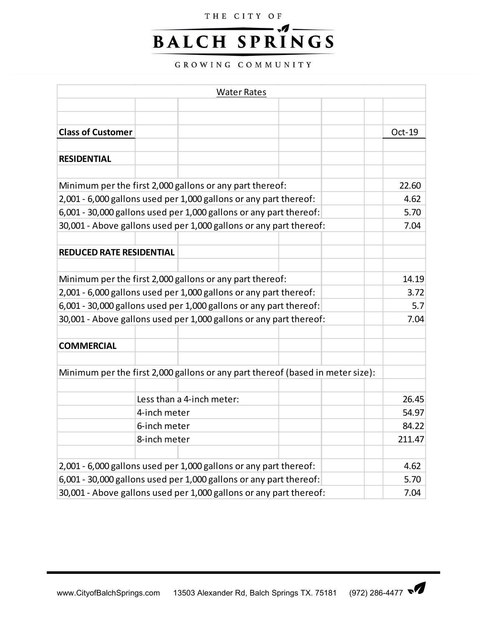## THE CITY OF

## **.1 BALCH SPRINGS**

GROWING COMMUNITY

|                                                                                                                               |              | <b>Water Rates</b>                                                 |                                                                                |        |  |
|-------------------------------------------------------------------------------------------------------------------------------|--------------|--------------------------------------------------------------------|--------------------------------------------------------------------------------|--------|--|
|                                                                                                                               |              |                                                                    |                                                                                |        |  |
|                                                                                                                               |              |                                                                    |                                                                                |        |  |
| <b>Class of Customer</b>                                                                                                      |              |                                                                    |                                                                                | Oct-19 |  |
|                                                                                                                               |              |                                                                    |                                                                                |        |  |
| <b>RESIDENTIAL</b>                                                                                                            |              |                                                                    |                                                                                |        |  |
|                                                                                                                               |              |                                                                    |                                                                                | 22.60  |  |
| Minimum per the first 2,000 gallons or any part thereof:<br>2,001 - 6,000 gallons used per 1,000 gallons or any part thereof: |              |                                                                    |                                                                                |        |  |
| 6,001 - 30,000 gallons used per 1,000 gallons or any part thereof:                                                            |              |                                                                    |                                                                                |        |  |
| 30,001 - Above gallons used per 1,000 gallons or any part thereof:                                                            |              |                                                                    |                                                                                |        |  |
|                                                                                                                               |              |                                                                    |                                                                                | 7.04   |  |
| <b>REDUCED RATE RESIDENTIAL</b>                                                                                               |              |                                                                    |                                                                                |        |  |
|                                                                                                                               |              |                                                                    |                                                                                |        |  |
| Minimum per the first 2,000 gallons or any part thereof:                                                                      | 14.19        |                                                                    |                                                                                |        |  |
| 2,001 - 6,000 gallons used per 1,000 gallons or any part thereof:                                                             | 3.72         |                                                                    |                                                                                |        |  |
| 6,001 - 30,000 gallons used per 1,000 gallons or any part thereof:                                                            | 5.7          |                                                                    |                                                                                |        |  |
|                                                                                                                               |              | 30,001 - Above gallons used per 1,000 gallons or any part thereof: |                                                                                | 7.04   |  |
|                                                                                                                               |              |                                                                    |                                                                                |        |  |
| <b>COMMERCIAL</b>                                                                                                             |              |                                                                    |                                                                                |        |  |
|                                                                                                                               |              |                                                                    |                                                                                |        |  |
|                                                                                                                               |              |                                                                    | Minimum per the first 2,000 gallons or any part thereof (based in meter size): |        |  |
|                                                                                                                               |              | Less than a 4-inch meter:                                          |                                                                                | 26.45  |  |
|                                                                                                                               | 4-inch meter | 54.97                                                              |                                                                                |        |  |
|                                                                                                                               | 6-inch meter | 84.22                                                              |                                                                                |        |  |
|                                                                                                                               | 8-inch meter | 211.47                                                             |                                                                                |        |  |
|                                                                                                                               |              |                                                                    |                                                                                |        |  |
| 2,001 - 6,000 gallons used per 1,000 gallons or any part thereof:                                                             |              |                                                                    |                                                                                |        |  |
| 6,001 - 30,000 gallons used per 1,000 gallons or any part thereof:                                                            |              |                                                                    |                                                                                |        |  |
| 30,001 - Above gallons used per 1,000 gallons or any part thereof:                                                            |              |                                                                    |                                                                                |        |  |